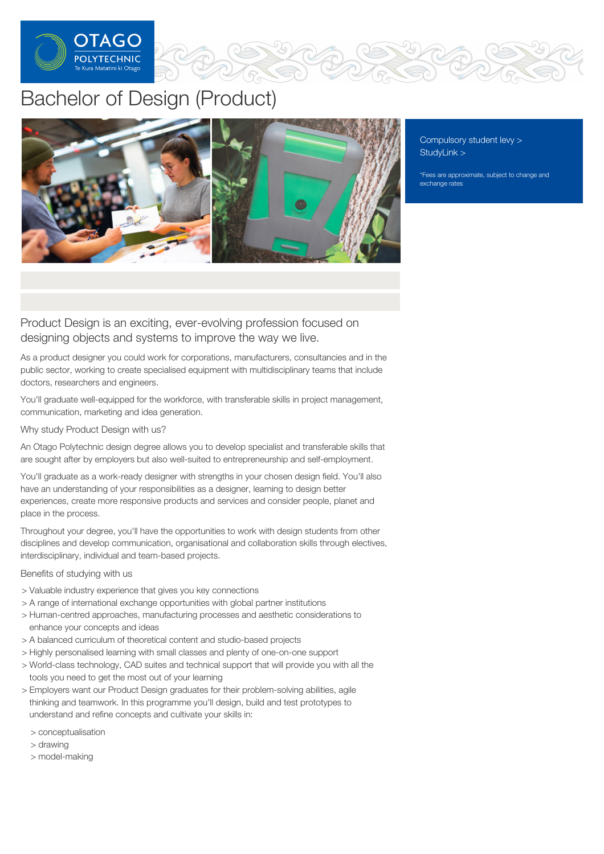

# Bachelor of Design (Product)



[Compulsory](https://online.op.ac.nz/students/important-information/student-services-levy/) student levy > [StudyLink](https://www.studylink.govt.nz/) >

\*Fees are approximate, subject to change and exchange rates

Product Design is an exciting, ever-evolving profession focused on designing objects and systems to improve the way we live.

As a product designer you could work for corporations, manufacturers, consultancies and in the public sector, working to create specialised equipment with multidisciplinary teams that include doctors, researchers and engineers.

You'll graduate well-equipped for the workforce, with transferable skills in project management, communication, marketing and idea generation.

# Why study Product Design with us?

An Otago Polytechnic design degree allows you to develop specialist and transferable skills that are sought after by employers but also well-suited to entrepreneurship and self-employment.

You'll graduate as a work-ready designer with strengths in your chosen design field. You'll also have an understanding of your responsibilities as a designer, learning to design better experiences, create more responsive products and services and consider people, planet and place in the process.

Throughout your degree, you'll have the opportunities to work with design students from other disciplines and develop communication, organisational and collaboration skills through electives, interdisciplinary, individual and team-based projects.

# Benefits of studying with us

- > Valuable industry experience that gives you key connections
- > A range of international exchange opportunities with global partner institutions
- > Human-centred approaches, manufacturing processes and aesthetic considerations to enhance your concepts and ideas
- > A balanced curriculum of theoretical content and studio-based projects
- > Highly personalised learning with small classes and plenty of one-on-one support
- > World-class technology, CAD suites and technical support that will provide you with all the tools you need to get the most out of your learning
- > Employers want our Product Design graduates for their problem-solving abilities, agile thinking and teamwork. In this programme you'll design, build and test prototypes to understand and refine concepts and cultivate your skills in:
	- > conceptualisation
	- > drawing
	- > model-making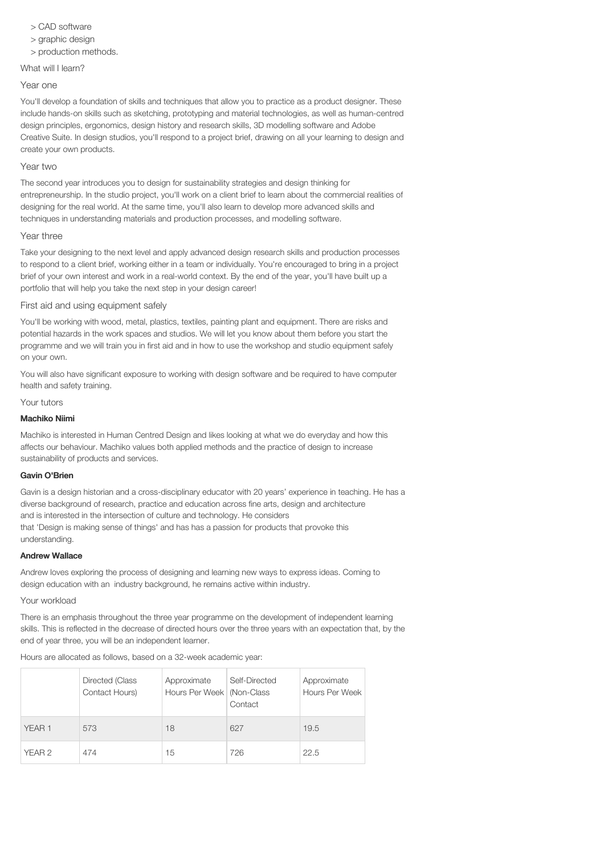- > CAD software
- > graphic design
- > production methods.

#### What will I learn?

#### Year one

You'll develop a foundation of skills and techniques that allow you to practice as a product designer. These include hands-on skills such as sketching, prototyping and material technologies, as well as human-centred design principles, ergonomics, design history and research skills, 3D modelling software and Adobe Creative Suite. In design studios, you'll respond to a project brief, drawing on all your learning to design and create your own products.

#### Year two

The second year introduces you to design for sustainability strategies and design thinking for entrepreneurship. In the studio project, you'll work on a client brief to learn about the commercial realities of designing for the real world. At the same time, you'll also learn to develop more advanced skills and techniques in understanding materials and production processes, and modelling software.

#### Year three

Take your designing to the next level and apply advanced design research skills and production processes to respond to a client brief, working either in a team or individually. You're encouraged to bring in a project brief of your own interest and work in a real-world context. By the end of the year, you'll have built up a portfolio that will help you take the next step in your design career!

# First aid and using equipment safely

You'll be working with wood, metal, plastics, textiles, painting plant and equipment. There are risks and potential hazards in the work spaces and studios. We will let you know about them before you start the programme and we will train you in first aid and in how to use the workshop and studio equipment safely on your own.

You will also have significant exposure to working with design software and be required to have computer health and safety training.

#### Your tutors

#### Machiko Niimi

Machiko is interested in Human Centred Design and likes looking at what we do everyday and how this affects our behaviour. Machiko values both applied methods and the practice of design to increase sustainability of products and services.

#### Gavin O'Brien

Gavin is a design historian and a cross-disciplinary educator with 20 years' experience in teaching. He has a diverse background of research, practice and education across fine arts, design and architecture and is interested in the intersection of culture and technology. He considers that 'Design is making sense of things' and has has a passion for products that provoke this understanding.

#### Andrew Wallace

Andrew loves exploring the process of designing and learning new ways to express ideas. Coming to design education with an industry background, he remains active within industry.

#### Your workload

There is an emphasis throughout the three year programme on the development of independent learning skills. This is reflected in the decrease of directed hours over the three years with an expectation that, by the end of year three, you will be an independent learner.

Hours are allocated as follows, based on a 32-week academic year:

|                   | Directed (Class<br>Contact Hours) | Approximate<br>Hours Per Week   (Non-Class | Self-Directed<br>Contact | Approximate<br>Hours Per Week |
|-------------------|-----------------------------------|--------------------------------------------|--------------------------|-------------------------------|
| YEAR <sub>1</sub> | 573                               | 18                                         | 627                      | 19.5                          |
| YEAR 2            | 474                               | 15                                         | 726                      | 22.5                          |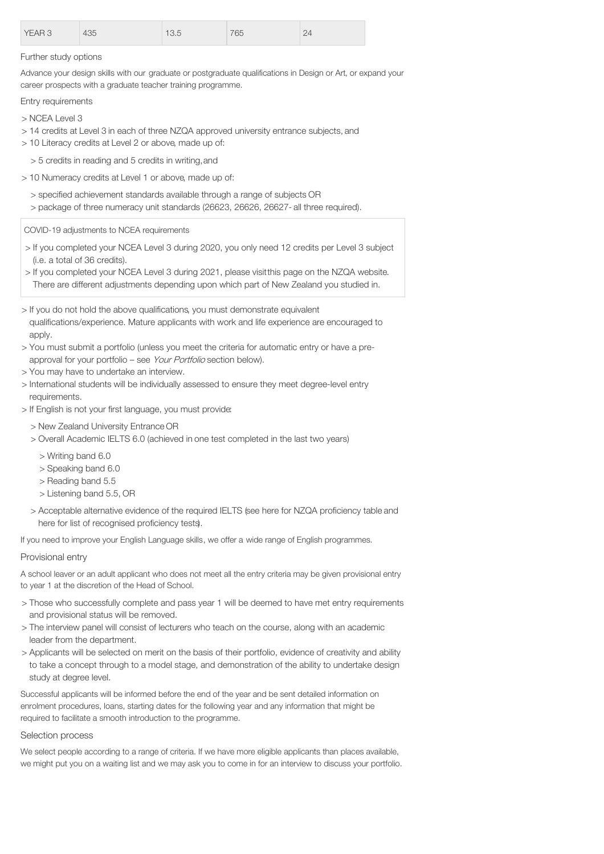| <b>YEAR 3</b> | 435 | 1 U .U | 765 | $-1$ |
|---------------|-----|--------|-----|------|
|               |     |        |     |      |

#### Further study options

Advance your design skills with our graduate or postgraduate qualifications in Design or Art, or expand your career prospects with a graduate teacher training programme.

#### Entry requirements

- > NCEA Level 3
- > 14 credits at Level 3 in each of three NZQA approved university entrance subjects, and
- > 10 Literacy credits at Level 2 or above, made up of:
	- > 5 credits in reading and 5 credits in writing,and
- > 10 Numeracy credits at Level 1 or above, made up of:
	- > specified achievement standards available through a range of subjects OR
	- > package of three numeracy unit standards (26623, 26626, 26627- all three required).

COVID-19 adjustments to NCEA requirements

- > If you completed your NCEA Level 3 during 2020, you only need 12 credits per Level 3 subject (i.e. a total of 36 credits).
- > If you completed your NCEA Level 3 during 2021, please visitthis page on the NZQA website.
- There are different adjustments depending upon which part of New Zealand you studied in.
- > If you do not hold the above qualifications, you must demonstrate equivalent
- qualifications/experience. Mature applicants with work and life experience are encouraged to apply.
- > You must submit a portfolio (unless you meet the criteria for automatic entry or have a preapproval for your portfolio – see Your Portfolio section below).
- > You may have to undertake an interview.
- > International students will be individually assessed to ensure they meet degree-level entry requirements.
- > If English is not your first language, you must provide:
	- > New Zealand University Entrance OR
	- > Overall Academic IELTS 6.0 (achieved in one test completed in the last two years)
		- > Writing band 6.0
		- > Speaking band 6.0
		- > Reading band 5.5
		- > Listening band 5.5, OR
	- > Acceptable alternative evidence of the required IELTS (see here for NZQA proficiency table and here for list of recognised proficiency tests).

If you need to improve your English Language skills, we offer a wide range of English programmes.

# Provisional entry

A school leaver or an adult applicant who does not meet all the entry criteria may be given provisional entry to year 1 at the discretion of the Head of School.

- > Those who successfully complete and pass year 1 will be deemed to have met entry requirements and provisional status will be removed.
- > The interview panel will consist of lecturers who teach on the course, along with an academic leader from the department.
- > Applicants will be selected on merit on the basis of their portfolio, evidence of creativity and ability to take a concept through to a model stage, and demonstration of the ability to undertake design study at degree level.

Successful applicants will be informed before the end of the year and be sent detailed information on enrolment procedures, loans, starting dates for the following year and any information that might be required to facilitate a smooth introduction to the programme.

# Selection process

We select people according to a range of criteria. If we have more eligible applicants than places available, we might put you on a waiting list and we may ask you to come in for an interview to discuss your portfolio.